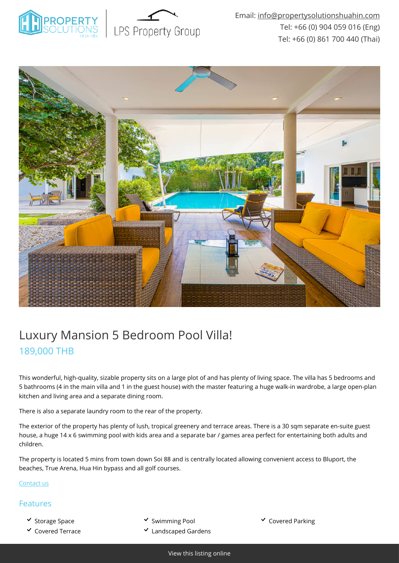



## Luxury Mansion 5 Bedroom Pool Villa! 189,000 THB

This wonderful, high-quality, sizable property sits on a large plot of and has plenty of living space. The villa has 5 bedrooms and 5 bathrooms (4 in the main villa and 1 in the guest house) with the master featuring a huge walk-in wardrobe, a large open-plan kitchen and living area and a separate dining room.

There is also a separate laundry room to the rear of the property.

The exterior of the property has plenty of lush, tropical greenery and terrace areas. There is a 30 sqm separate en-suite guest house, a huge 14 x 6 swimming pool with kids area and a separate bar / games area perfect for entertaining both adults and children.

The property is located 5 mins from town down Soi 88 and is centrally located allowing convenient access to Bluport, the beaches, True Arena, Hua Hin bypass and all golf courses.

[Contact us](mailto:info@propertysolutionshuahin.com)

## Features

- 
- 
- v Storage Space Summing Pool Swimming Pool Superved Parking
- $\checkmark$  Covered Terrace  $\checkmark$  Landscaped Gardens
-